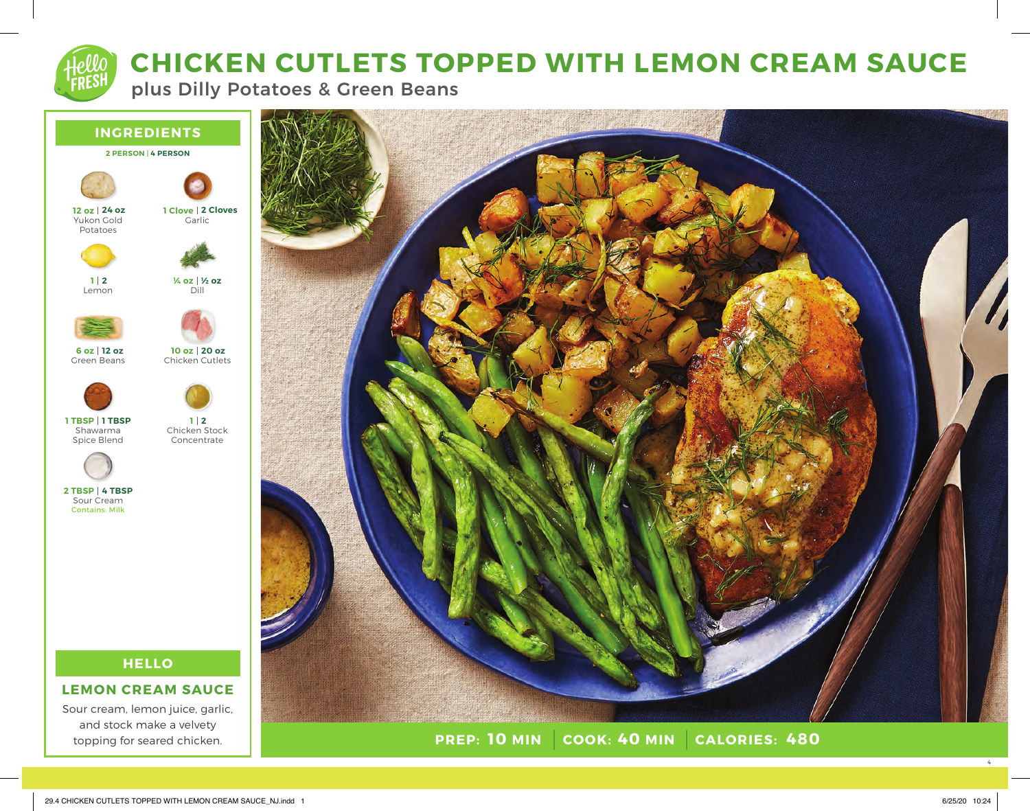**CHICKEN CUTLETS TOPPED WITH LEMON CREAM SAUCE**

plus Dilly Potatoes & Green Beans



**HELLO**

# **LEMON CREAM SAUCE**

Sour cream, lemon juice, garlic, and stock make a velvety topping for seared chicken.



**PREP: 10 MIN COOK: 40 MIN 10 MIN 40 MIN 480**

4